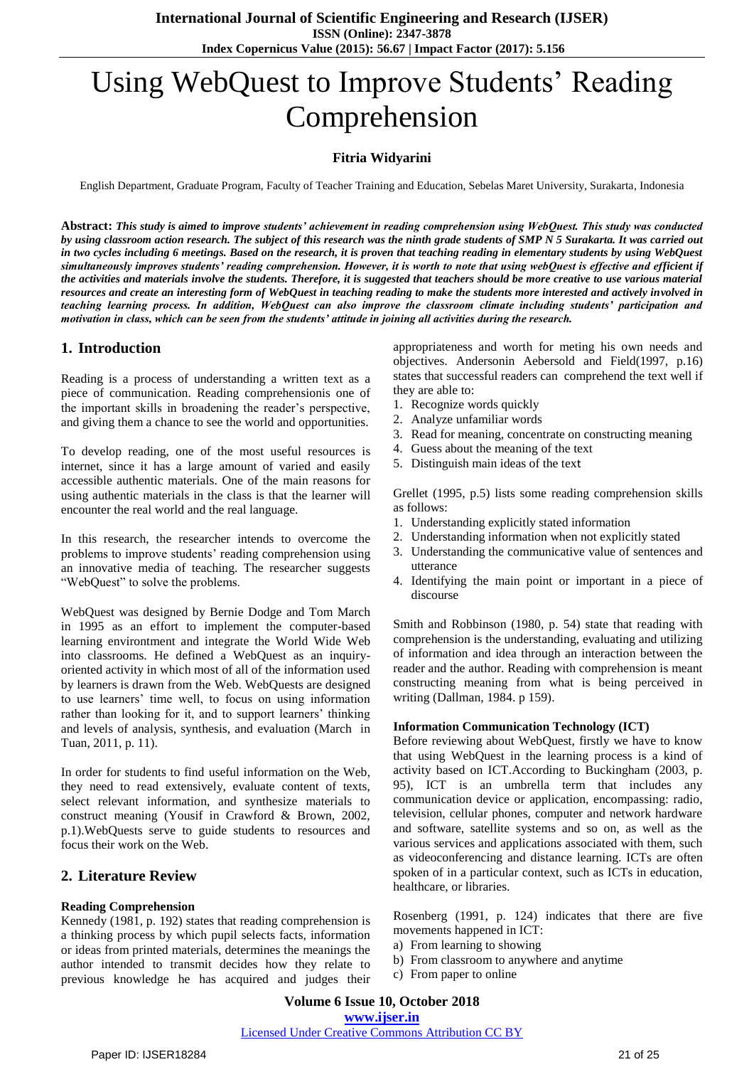# Using WebQuest to Improve Students' Reading Comprehension

# **Fitria Widyarini**

English Department, Graduate Program, Faculty of Teacher Training and Education, Sebelas Maret University, Surakarta, Indonesia

**Abstract:** *This study is aimed to improve students' achievement in reading comprehension using WebQuest. This study was conducted by using classroom action research. The subject of this research was the ninth grade students of SMP N 5 Surakarta. It was carried out in two cycles including 6 meetings. Based on the research, it is proven that teaching reading in elementary students by using WebQuest simultaneously improves students' reading comprehension. However, it is worth to note that using webQuest is effective and efficient if the activities and materials involve the students. Therefore, it is suggested that teachers should be more creative to use various material resources and create an interesting form of WebQuest in teaching reading to make the students more interested and actively involved in teaching learning process. In addition, WebQuest can also improve the classroom climate including students' participation and motivation in class, which can be seen from the students' attitude in joining all activities during the research.*

#### **1. Introduction**

Reading is a process of understanding a written text as a piece of communication. Reading comprehensionis one of the important skills in broadening the reader's perspective, and giving them a chance to see the world and opportunities.

To develop reading, one of the most useful resources is internet, since it has a large amount of varied and easily accessible authentic materials. One of the main reasons for using authentic materials in the class is that the learner will encounter the real world and the real language.

In this research, the researcher intends to overcome the problems to improve students' reading comprehension using an innovative media of teaching. The researcher suggests "WebQuest" to solve the problems.

WebQuest was designed by Bernie Dodge and Tom March in 1995 as an effort to implement the computer-based learning environtment and integrate the World Wide Web into classrooms. He defined a WebQuest as an inquiryoriented activity in which most of all of the information used by learners is drawn from the Web. WebQuests are designed to use learners' time well, to focus on using information rather than looking for it, and to support learners' thinking and levels of analysis, synthesis, and evaluation (March in Tuan, 2011, p. 11).

In order for students to find useful information on the Web, they need to read extensively, evaluate content of texts, select relevant information, and synthesize materials to construct meaning (Yousif in Crawford & Brown, 2002, p.1).WebQuests serve to guide students to resources and focus their work on the Web.

# **2. Literature Review**

#### **Reading Comprehension**

Kennedy (1981, p. 192) states that reading comprehension is a thinking process by which pupil selects facts, information or ideas from printed materials, determines the meanings the author intended to transmit decides how they relate to previous knowledge he has acquired and judges their appropriateness and worth for meting his own needs and objectives. Andersonin Aebersold and Field(1997, p.16) states that successful readers can comprehend the text well if they are able to:

- 1. Recognize words quickly
- 2. Analyze unfamiliar words
- 3. Read for meaning, concentrate on constructing meaning
- 4. Guess about the meaning of the text
- 5. Distinguish main ideas of the text

Grellet (1995, p.5) lists some reading comprehension skills as follows:

- 1. Understanding explicitly stated information
- 2. Understanding information when not explicitly stated
- 3. Understanding the communicative value of sentences and utterance
- 4. Identifying the main point or important in a piece of discourse

Smith and Robbinson (1980, p. 54) state that reading with comprehension is the understanding, evaluating and utilizing of information and idea through an interaction between the reader and the author. Reading with comprehension is meant constructing meaning from what is being perceived in writing (Dallman, 1984. p 159).

#### **Information Communication Technology (ICT)**

Before reviewing about WebQuest, firstly we have to know that using WebQuest in the learning process is a kind of activity based on ICT.According to Buckingham (2003, p. 95), ICT is an umbrella term that includes any communication device or application, encompassing: radio, television, cellular phones, computer and network hardware and software, satellite systems and so on, as well as the various services and applications associated with them, such as videoconferencing and distance learning. ICTs are often spoken of in a particular context, such as ICTs in education, healthcare, or libraries.

Rosenberg (1991, p. 124) indicates that there are five movements happened in ICT:

- a) From learning to showing
- b) From classroom to anywhere and anytime
- c) From paper to online

# Licensed Under Creative Commons Attribution CC BY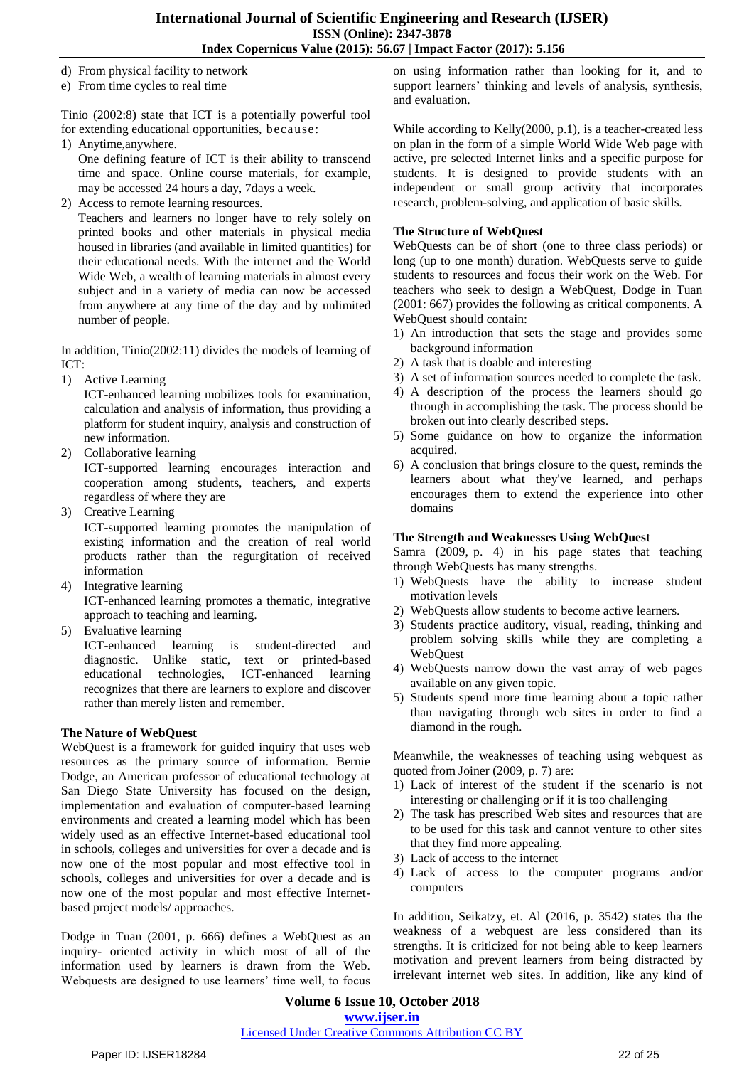- d) From physical facility to network
- e) From time cycles to real time

Tinio (2002:8) state that ICT is a potentially powerful tool for extending educational opportunities, because:

1) Anytime,anywhere.

One defining feature of ICT is their ability to transcend time and space. Online course materials, for example, may be accessed 24 hours a day, 7days a week.

2) Access to remote learning resources.

Teachers and learners no longer have to rely solely on printed books and other materials in physical media housed in libraries (and available in limited quantities) for their educational needs. With the internet and the World Wide Web, a wealth of learning materials in almost every subject and in a variety of media can now be accessed from anywhere at any time of the day and by unlimited number of people.

In addition, Tinio(2002:11) divides the models of learning of ICT:

1) Active Learning

ICT-enhanced learning mobilizes tools for examination, calculation and analysis of information, thus providing a platform for student inquiry, analysis and construction of new information.

2) Collaborative learning

ICT-supported learning encourages interaction and cooperation among students, teachers, and experts regardless of where they are

- 3) Creative Learning ICT-supported learning promotes the manipulation of existing information and the creation of real world products rather than the regurgitation of received information
- 4) Integrative learning ICT-enhanced learning promotes a thematic, integrative approach to teaching and learning.
- 5) Evaluative learning

ICT-enhanced learning is student-directed and diagnostic. Unlike static, text or printed-based educational technologies, ICT-enhanced learning recognizes that there are learners to explore and discover rather than merely listen and remember.

#### **The Nature of WebQuest**

WebQuest is a framework for guided inquiry that uses web resources as the primary source of information. Bernie Dodge, an American professor of educational technology at San Diego State University has focused on the design, implementation and evaluation of computer-based learning environments and created a learning model which has been widely used as an effective Internet-based educational tool in schools, colleges and universities for over a decade and is now one of the most popular and most effective tool in schools, colleges and universities for over a decade and is now one of the most popular and most effective Internetbased project models/ approaches.

Dodge in Tuan (2001, p. 666) defines a WebQuest as an inquiry- oriented activity in which most of all of the information used by learners is drawn from the Web. Webquests are designed to use learners' time well, to focus on using information rather than looking for it, and to support learners' thinking and levels of analysis, synthesis, and evaluation.

While according to Kelly(2000, p.1), is a teacher-created less on plan in the form of a simple World Wide Web page with active, pre selected Internet links and a specific purpose for students. It is designed to provide students with an independent or small group activity that incorporates research, problem-solving, and application of basic skills.

#### **The Structure of WebQuest**

WebQuests can be of short (one to three class periods) or long (up to one month) duration. WebQuests serve to guide students to resources and focus their work on the Web. For teachers who seek to design a WebQuest, Dodge in Tuan (2001: 667) provides the following as critical components. A WebQuest should contain:

- 1) An introduction that sets the stage and provides some background information
- 2) A task that is doable and interesting
- 3) A set of information sources needed to complete the task.
- 4) A description of the process the learners should go through in accomplishing the task. The process should be broken out into clearly described steps.
- 5) Some guidance on how to organize the information acquired.
- 6) A conclusion that brings closure to the quest, reminds the learners about what they've learned, and perhaps encourages them to extend the experience into other domains

#### **The Strength and Weaknesses Using WebQuest**

Samra (2009, p. 4) in his page states that teaching through WebQuests has many strengths.

- 1) WebQuests have the ability to increase student motivation levels
- 2) WebQuests allow students to become active learners.
- 3) Students practice auditory, visual, reading, thinking and problem solving skills while they are completing a **WebOuest**
- 4) WebQuests narrow down the vast array of web pages available on any given topic.
- 5) Students spend more time learning about a topic rather than navigating through web sites in order to find a diamond in the rough.

Meanwhile, the weaknesses of teaching using webquest as quoted from Joiner (2009, p. 7) are:

- 1) Lack of interest of the student if the scenario is not interesting or challenging or if it is too challenging
- 2) The task has prescribed Web sites and resources that are to be used for this task and cannot venture to other sites that they find more appealing.
- 3) Lack of access to the internet
- 4) Lack of access to the computer programs and/or computers

In addition, Seikatzy, et. Al (2016, p. 3542) states tha the weakness of a webquest are less considered than its strengths. It is criticized for not being able to keep learners motivation and prevent learners from being distracted by irrelevant internet web sites. In addition, like any kind of

**Volume 6 Issue 10, October 2018 www.ijser.in** Licensed Under Creative Commons Attribution CC BY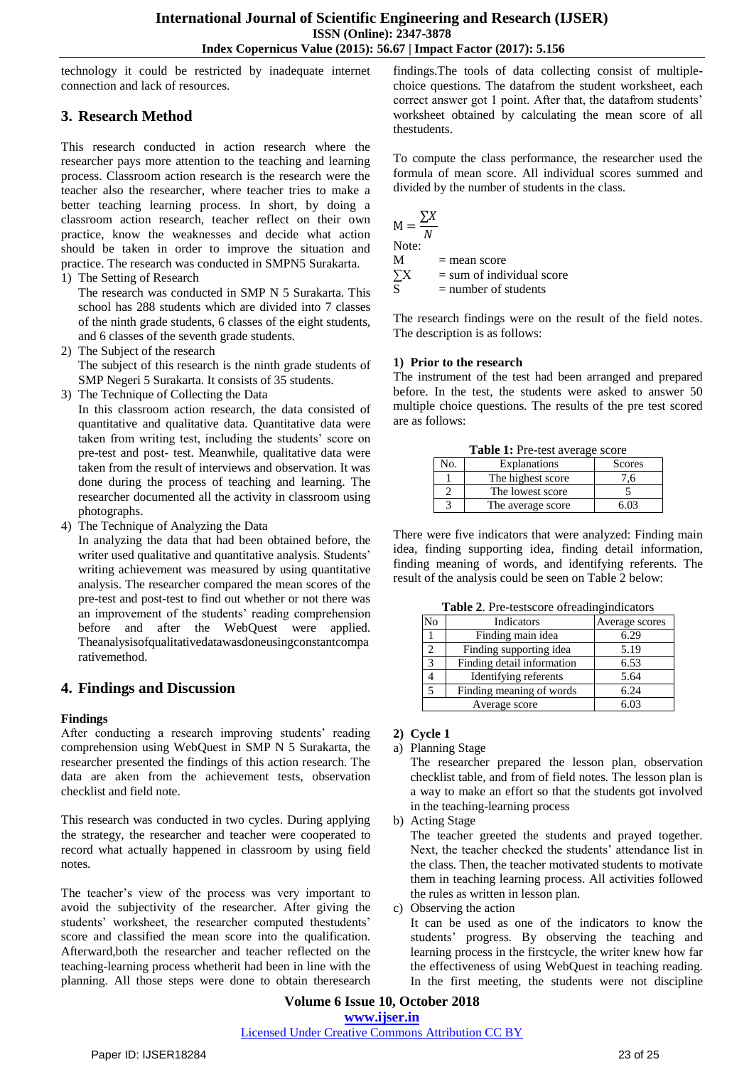technology it could be restricted by inadequate internet connection and lack of resources.

# **3. Research Method**

This research conducted in action research where the researcher pays more attention to the teaching and learning process. Classroom action research is the research were the teacher also the researcher, where teacher tries to make a better teaching learning process. In short, by doing a classroom action research, teacher reflect on their own practice, know the weaknesses and decide what action should be taken in order to improve the situation and practice. The research was conducted in SMPN5 Surakarta.

1) The Setting of Research

The research was conducted in SMP N 5 Surakarta. This school has 288 students which are divided into 7 classes of the ninth grade students, 6 classes of the eight students, and 6 classes of the seventh grade students.

- 2) The Subject of the research The subject of this research is the ninth grade students of SMP Negeri 5 Surakarta. It consists of 35 students.
- 3) The Technique of Collecting the Data

In this classroom action research, the data consisted of quantitative and qualitative data. Quantitative data were taken from writing test, including the students' score on pre-test and post- test. Meanwhile, qualitative data were taken from the result of interviews and observation. It was done during the process of teaching and learning. The researcher documented all the activity in classroom using photographs.

4) The Technique of Analyzing the Data

In analyzing the data that had been obtained before, the writer used qualitative and quantitative analysis. Students' writing achievement was measured by using quantitative analysis. The researcher compared the mean scores of the pre-test and post-test to find out whether or not there was an improvement of the students' reading comprehension before and after the WebQuest were applied. Theanalysisofqualitativedatawasdoneusingconstantcompa rativemethod.

# **4. Findings and Discussion**

# **Findings**

After conducting a research improving students' reading comprehension using WebQuest in SMP N 5 Surakarta, the researcher presented the findings of this action research. The data are aken from the achievement tests, observation checklist and field note.

This research was conducted in two cycles. During applying the strategy, the researcher and teacher were cooperated to record what actually happened in classroom by using field notes.

The teacher's view of the process was very important to avoid the subjectivity of the researcher. After giving the students' worksheet, the researcher computed thestudents' score and classified the mean score into the qualification. Afterward,both the researcher and teacher reflected on the teaching-learning process whetherit had been in line with the planning. All those steps were done to obtain theresearch findings.The tools of data collecting consist of multiplechoice questions. The datafrom the student worksheet, each correct answer got 1 point. After that, the datafrom students' worksheet obtained by calculating the mean score of all thestudents.

To compute the class performance, the researcher used the formula of mean score. All individual scores summed and divided by the number of students in the class.

$$
M = \frac{\sum X}{N}
$$
  
Note:  
M = 0

 $=$  mean score

 $\sum X$  = sum of individual score

 $=$  number of students

The research findings were on the result of the field notes. The description is as follows:

#### **1) Prior to the research**

The instrument of the test had been arranged and prepared before. In the test, the students were asked to answer 50 multiple choice questions. The results of the pre test scored are as follows:

**Table 1:** Pre-test average score

| <b>rapic 1.</b> The test average score |                   |        |  |
|----------------------------------------|-------------------|--------|--|
| No.                                    | Explanations      | Scores |  |
|                                        | The highest score | -6     |  |
|                                        | The lowest score  |        |  |
|                                        | The average score |        |  |

There were five indicators that were analyzed: Finding main idea, finding supporting idea, finding detail information, finding meaning of words, and identifying referents. The result of the analysis could be seen on Table 2 below:

**Table 2**. Pre-testscore ofreadingindicators

| No | Indicators                 | Average scores |
|----|----------------------------|----------------|
|    | Finding main idea          | 6.29           |
|    | Finding supporting idea    | 5.19           |
|    | Finding detail information | 6.53           |
|    | Identifying referents      | 5.64           |
|    | Finding meaning of words   | 6.24           |
|    | Average score              | 6.03           |

#### **2) Cycle 1**

a) Planning Stage

The researcher prepared the lesson plan, observation checklist table, and from of field notes. The lesson plan is a way to make an effort so that the students got involved in the teaching-learning process

b) Acting Stage

The teacher greeted the students and prayed together. Next, the teacher checked the students' attendance list in the class. Then, the teacher motivated students to motivate them in teaching learning process. All activities followed the rules as written in lesson plan.

c) Observing the action

It can be used as one of the indicators to know the students' progress. By observing the teaching and learning process in the firstcycle, the writer knew how far the effectiveness of using WebQuest in teaching reading. In the first meeting, the students were not discipline

**Volume 6 Issue 10, October 2018 www.ijser.in**

Licensed Under Creative Commons Attribution CC BY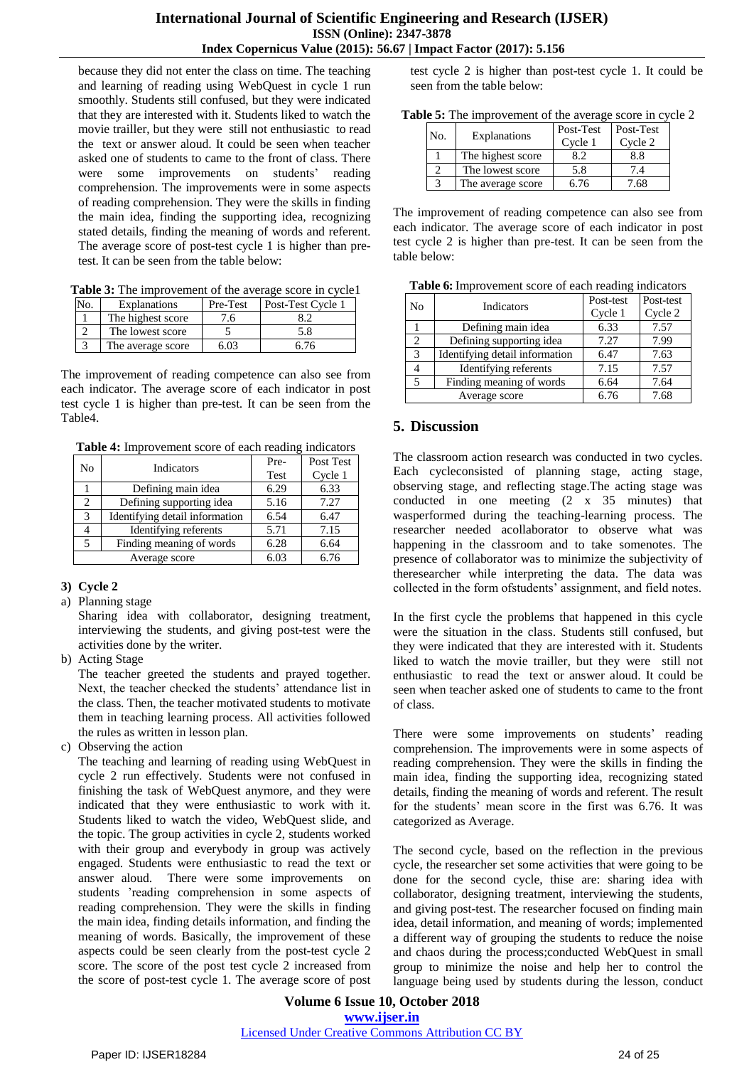because they did not enter the class on time. The teaching and learning of reading using WebQuest in cycle 1 run smoothly. Students still confused, but they were indicated that they are interested with it. Students liked to watch the movie trailler, but they were still not enthusiastic to read the text or answer aloud. It could be seen when teacher asked one of students to came to the front of class. There were some improvements on students' reading comprehension. The improvements were in some aspects of reading comprehension. They were the skills in finding the main idea, finding the supporting idea, recognizing stated details, finding the meaning of words and referent. The average score of post-test cycle 1 is higher than pretest. It can be seen from the table below:

**Table 3:** The improvement of the average score in cycle1

| No. | Explanations      | Pre-Test | Post-Test Cycle 1 |
|-----|-------------------|----------|-------------------|
|     | The highest score | ∕.6.     |                   |
|     | The lowest score  |          | 5.8               |
|     | The average score | 6.03     | 6.76              |

The improvement of reading competence can also see from each indicator. The average score of each indicator in post test cycle 1 is higher than pre-test. It can be seen from the Table4.

**Table 4:** Improvement score of each reading indicators

| No            | Indicators                     | Pre- | Post Test |
|---------------|--------------------------------|------|-----------|
|               |                                | Test | Cycle 1   |
|               | Defining main idea             | 6.29 | 6.33      |
| 2             | Defining supporting idea       | 5.16 | 7.27      |
| 3             | Identifying detail information | 6.54 | 6.47      |
|               | Identifying referents          | 5.71 | 7.15      |
| 5             | Finding meaning of words       | 6.28 | 6.64      |
| Average score |                                | 6.03 | 6.76      |

# **3) Cycle 2**

a) Planning stage

Sharing idea with collaborator, designing treatment, interviewing the students, and giving post-test were the activities done by the writer.

b) Acting Stage

The teacher greeted the students and prayed together. Next, the teacher checked the students' attendance list in the class. Then, the teacher motivated students to motivate them in teaching learning process. All activities followed the rules as written in lesson plan.

c) Observing the action

The teaching and learning of reading using WebQuest in cycle 2 run effectively. Students were not confused in finishing the task of WebQuest anymore, and they were indicated that they were enthusiastic to work with it. Students liked to watch the video, WebQuest slide, and the topic. The group activities in cycle 2, students worked with their group and everybody in group was actively engaged. Students were enthusiastic to read the text or answer aloud. There were some improvements on students 'reading comprehension in some aspects of reading comprehension. They were the skills in finding the main idea, finding details information, and finding the meaning of words. Basically, the improvement of these aspects could be seen clearly from the post-test cycle 2 score. The score of the post test cycle 2 increased from the score of post-test cycle 1. The average score of post test cycle 2 is higher than post-test cycle 1. It could be seen from the table below:

| Table 5: The improvement of the average score in cycle 2 |
|----------------------------------------------------------|
|----------------------------------------------------------|

| No. | Explanations      | Post-Test<br>Cycle 1 | Post-Test<br>Cycle 2 |
|-----|-------------------|----------------------|----------------------|
|     | The highest score | 8.2                  | 8.8                  |
|     | The lowest score  | 5.8                  | 7.4                  |
|     | The average score | 6.76                 | 7.68                 |

The improvement of reading competence can also see from each indicator. The average score of each indicator in post test cycle 2 is higher than pre-test. It can be seen from the table below:

| Table 6: Improvement score of each reading indicators |  |  |
|-------------------------------------------------------|--|--|
|                                                       |  |  |

| N <sub>0</sub>              | Indicators                     | Post-test<br>Cycle 1 | Post-test<br>Cycle 2 |
|-----------------------------|--------------------------------|----------------------|----------------------|
|                             | Defining main idea             | 6.33                 | 7.57                 |
| $\mathcal{D}_{\mathcal{L}}$ | Defining supporting idea       | 7.27                 | 7.99                 |
| 3                           | Identifying detail information | 6.47                 | 7.63                 |
|                             | Identifying referents          | 7.15                 | 7.57                 |
| 5                           | Finding meaning of words       | 6.64                 | 7.64                 |
| Average score               |                                | 6.76                 | 7.68                 |

# **5. Discussion**

The classroom action research was conducted in two cycles. Each cycleconsisted of planning stage, acting stage, observing stage, and reflecting stage.The acting stage was conducted in one meeting (2 x 35 minutes) that wasperformed during the teaching-learning process. The researcher needed acollaborator to observe what was happening in the classroom and to take somenotes. The presence of collaborator was to minimize the subjectivity of theresearcher while interpreting the data. The data was collected in the form ofstudents' assignment, and field notes.

In the first cycle the problems that happened in this cycle were the situation in the class. Students still confused, but they were indicated that they are interested with it. Students liked to watch the movie trailler, but they were still not enthusiastic to read the text or answer aloud. It could be seen when teacher asked one of students to came to the front of class.

There were some improvements on students' reading comprehension. The improvements were in some aspects of reading comprehension. They were the skills in finding the main idea, finding the supporting idea, recognizing stated details, finding the meaning of words and referent. The result for the students' mean score in the first was 6.76. It was categorized as Average.

The second cycle, based on the reflection in the previous cycle, the researcher set some activities that were going to be done for the second cycle, thise are: sharing idea with collaborator, designing treatment, interviewing the students, and giving post-test. The researcher focused on finding main idea, detail information, and meaning of words; implemented a different way of grouping the students to reduce the noise and chaos during the process;conducted WebQuest in small group to minimize the noise and help her to control the language being used by students during the lesson, conduct

**Volume 6 Issue 10, October 2018 www.ijser.in**

Licensed Under Creative Commons Attribution CC BY